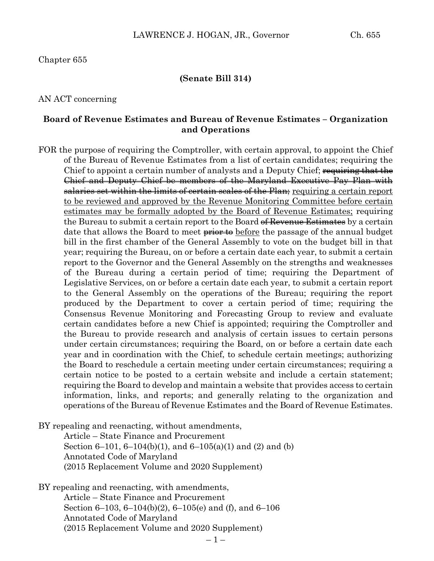#### **(Senate Bill 314)**

#### AN ACT concerning

#### **Board of Revenue Estimates and Bureau of Revenue Estimates – Organization and Operations**

FOR the purpose of requiring the Comptroller, with certain approval, to appoint the Chief of the Bureau of Revenue Estimates from a list of certain candidates; requiring the Chief to appoint a certain number of analysts and a Deputy Chief; requiring that the Chief and Deputy Chief be members of the Maryland Executive Pay Plan with salaries set within the limits of certain scales of the Plan; requiring a certain report to be reviewed and approved by the Revenue Monitoring Committee before certain estimates may be formally adopted by the Board of Revenue Estimates; requiring the Bureau to submit a certain report to the Board of Revenue Estimates by a certain date that allows the Board to meet **prior to** before the passage of the annual budget bill in the first chamber of the General Assembly to vote on the budget bill in that year; requiring the Bureau, on or before a certain date each year, to submit a certain report to the Governor and the General Assembly on the strengths and weaknesses of the Bureau during a certain period of time; requiring the Department of Legislative Services, on or before a certain date each year, to submit a certain report to the General Assembly on the operations of the Bureau; requiring the report produced by the Department to cover a certain period of time; requiring the Consensus Revenue Monitoring and Forecasting Group to review and evaluate certain candidates before a new Chief is appointed; requiring the Comptroller and the Bureau to provide research and analysis of certain issues to certain persons under certain circumstances; requiring the Board, on or before a certain date each year and in coordination with the Chief, to schedule certain meetings; authorizing the Board to reschedule a certain meeting under certain circumstances; requiring a certain notice to be posted to a certain website and include a certain statement; requiring the Board to develop and maintain a website that provides access to certain information, links, and reports; and generally relating to the organization and operations of the Bureau of Revenue Estimates and the Board of Revenue Estimates.

BY repealing and reenacting, without amendments,

Article – State Finance and Procurement Section 6–101, 6–104(b)(1), and 6–105(a)(1) and (2) and (b) Annotated Code of Maryland (2015 Replacement Volume and 2020 Supplement)

BY repealing and reenacting, with amendments, Article – State Finance and Procurement Section 6–103, 6–104(b)(2), 6–105(e) and (f), and 6–106 Annotated Code of Maryland (2015 Replacement Volume and 2020 Supplement)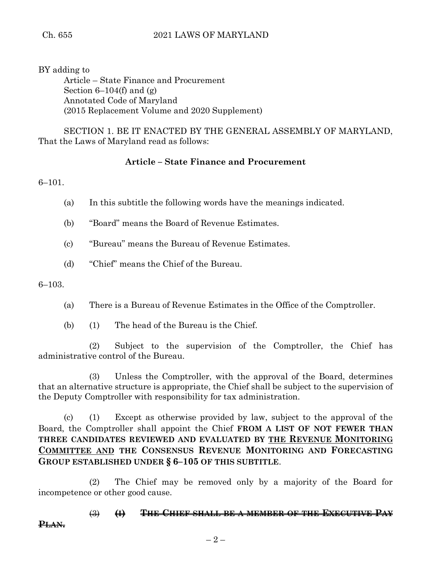BY adding to Article – State Finance and Procurement Section  $6-104(f)$  and  $(g)$ Annotated Code of Maryland (2015 Replacement Volume and 2020 Supplement)

SECTION 1. BE IT ENACTED BY THE GENERAL ASSEMBLY OF MARYLAND, That the Laws of Maryland read as follows:

# **Article – State Finance and Procurement**

6–101.

- (a) In this subtitle the following words have the meanings indicated.
- (b) "Board" means the Board of Revenue Estimates.
- (c) "Bureau" means the Bureau of Revenue Estimates.
- (d) "Chief" means the Chief of the Bureau.

6–103.

- (a) There is a Bureau of Revenue Estimates in the Office of the Comptroller.
- (b) (1) The head of the Bureau is the Chief.

(2) Subject to the supervision of the Comptroller, the Chief has administrative control of the Bureau.

(3) Unless the Comptroller, with the approval of the Board, determines that an alternative structure is appropriate, the Chief shall be subject to the supervision of the Deputy Comptroller with responsibility for tax administration.

(c) (1) Except as otherwise provided by law, subject to the approval of the Board, the Comptroller shall appoint the Chief **FROM A LIST OF NOT FEWER THAN THREE CANDIDATES REVIEWED AND EVALUATED BY THE REVENUE MONITORING COMMITTEE AND THE CONSENSUS REVENUE MONITORING AND FORECASTING GROUP ESTABLISHED UNDER § 6–105 OF THIS SUBTITLE**.

(2) The Chief may be removed only by a majority of the Board for incompetence or other good cause.

(3) **(I) THE CHIEF SHALL BE A MEMBER OF THE EXECUTIVE PAY**

**PLAN.**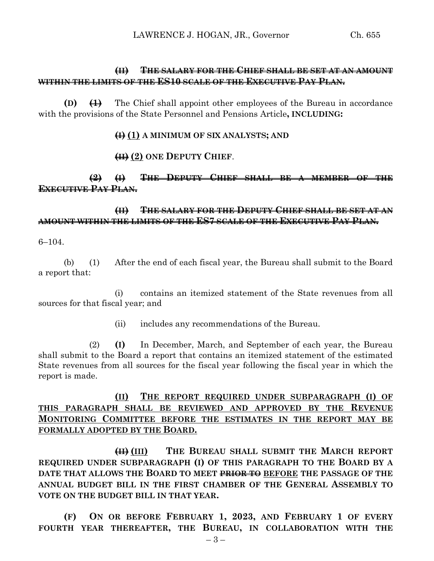## **(II) THE SALARY FOR THE CHIEF SHALL BE SET AT AN AMOUNT WITHIN THE LIMITS OF THE ES10 SCALE OF THE EXECUTIVE PAY PLAN.**

**(D) (1)** The Chief shall appoint other employees of the Bureau in accordance with the provisions of the State Personnel and Pensions Article**, INCLUDING:**

#### **(I) (1) A MINIMUM OF SIX ANALYSTS; AND**

## **(II) (2) ONE DEPUTY CHIEF**.

## **(2) (I) THE DEPUTY CHIEF SHALL BE A MEMBER OF THE EXECUTIVE PAY PLAN.**

## **(II) THE SALARY FOR THE DEPUTY CHIEF SHALL BE SET AT AN AMOUNT WITHIN THE LIMITS OF THE ES7 SCALE OF THE EXECUTIVE PAY PLAN.**

6–104.

(b) (1) After the end of each fiscal year, the Bureau shall submit to the Board a report that:

(i) contains an itemized statement of the State revenues from all sources for that fiscal year; and

(ii) includes any recommendations of the Bureau.

(2) **(I)** In December, March, and September of each year, the Bureau shall submit to the Board a report that contains an itemized statement of the estimated State revenues from all sources for the fiscal year following the fiscal year in which the report is made.

## **(II) THE REPORT REQUIRED UNDER SUBPARAGRAPH (I) OF THIS PARAGRAPH SHALL BE REVIEWED AND APPROVED BY THE REVENUE MONITORING COMMITTEE BEFORE THE ESTIMATES IN THE REPORT MAY BE FORMALLY ADOPTED BY THE BOARD.**

**(II) (III) THE BUREAU SHALL SUBMIT THE MARCH REPORT REQUIRED UNDER SUBPARAGRAPH (I) OF THIS PARAGRAPH TO THE BOARD BY A DATE THAT ALLOWS THE BOARD TO MEET PRIOR TO BEFORE THE PASSAGE OF THE ANNUAL BUDGET BILL IN THE FIRST CHAMBER OF THE GENERAL ASSEMBLY TO VOTE ON THE BUDGET BILL IN THAT YEAR.**

**(F) ON OR BEFORE FEBRUARY 1, 2023, AND FEBRUARY 1 OF EVERY FOURTH YEAR THEREAFTER, THE BUREAU, IN COLLABORATION WITH THE**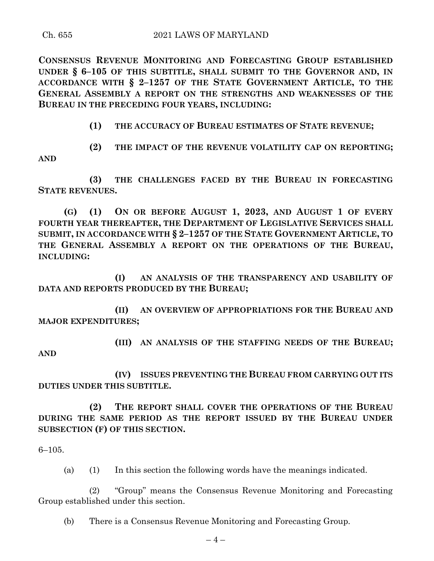**CONSENSUS REVENUE MONITORING AND FORECASTING GROUP ESTABLISHED UNDER § 6–105 OF THIS SUBTITLE, SHALL SUBMIT TO THE GOVERNOR AND, IN ACCORDANCE WITH § 2–1257 OF THE STATE GOVERNMENT ARTICLE, TO THE GENERAL ASSEMBLY A REPORT ON THE STRENGTHS AND WEAKNESSES OF THE BUREAU IN THE PRECEDING FOUR YEARS, INCLUDING:**

**(1) THE ACCURACY OF BUREAU ESTIMATES OF STATE REVENUE;**

**(2) THE IMPACT OF THE REVENUE VOLATILITY CAP ON REPORTING; AND**

**(3) THE CHALLENGES FACED BY THE BUREAU IN FORECASTING STATE REVENUES.**

**(G) (1) ON OR BEFORE AUGUST 1, 2023, AND AUGUST 1 OF EVERY FOURTH YEAR THEREAFTER, THE DEPARTMENT OF LEGISLATIVE SERVICES SHALL SUBMIT, IN ACCORDANCE WITH § 2–1257 OF THE STATE GOVERNMENT ARTICLE, TO THE GENERAL ASSEMBLY A REPORT ON THE OPERATIONS OF THE BUREAU, INCLUDING:**

**(I) AN ANALYSIS OF THE TRANSPARENCY AND USABILITY OF DATA AND REPORTS PRODUCED BY THE BUREAU;**

**(II) AN OVERVIEW OF APPROPRIATIONS FOR THE BUREAU AND MAJOR EXPENDITURES;**

**(III) AN ANALYSIS OF THE STAFFING NEEDS OF THE BUREAU;**

**AND**

**(IV) ISSUES PREVENTING THE BUREAU FROM CARRYING OUT ITS DUTIES UNDER THIS SUBTITLE.**

**(2) THE REPORT SHALL COVER THE OPERATIONS OF THE BUREAU DURING THE SAME PERIOD AS THE REPORT ISSUED BY THE BUREAU UNDER SUBSECTION (F) OF THIS SECTION.**

6–105.

(a) (1) In this section the following words have the meanings indicated.

(2) "Group" means the Consensus Revenue Monitoring and Forecasting Group established under this section.

(b) There is a Consensus Revenue Monitoring and Forecasting Group.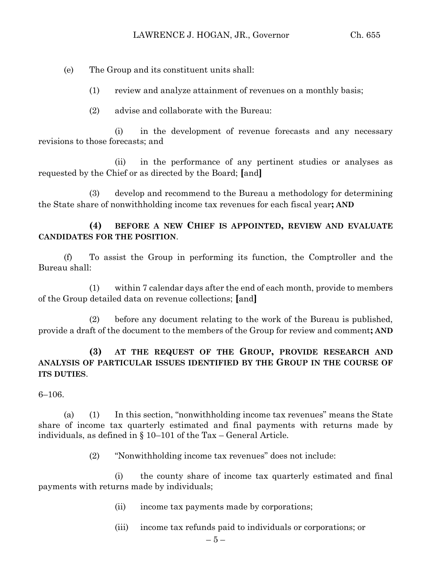(e) The Group and its constituent units shall:

- (1) review and analyze attainment of revenues on a monthly basis;
- (2) advise and collaborate with the Bureau:

(i) in the development of revenue forecasts and any necessary revisions to those forecasts; and

(ii) in the performance of any pertinent studies or analyses as requested by the Chief or as directed by the Board; **[**and**]**

(3) develop and recommend to the Bureau a methodology for determining the State share of nonwithholding income tax revenues for each fiscal year**; AND**

## **(4) BEFORE A NEW CHIEF IS APPOINTED, REVIEW AND EVALUATE CANDIDATES FOR THE POSITION**.

(f) To assist the Group in performing its function, the Comptroller and the Bureau shall:

(1) within 7 calendar days after the end of each month, provide to members of the Group detailed data on revenue collections; **[**and**]**

(2) before any document relating to the work of the Bureau is published, provide a draft of the document to the members of the Group for review and comment**; AND**

## **(3) AT THE REQUEST OF THE GROUP, PROVIDE RESEARCH AND ANALYSIS OF PARTICULAR ISSUES IDENTIFIED BY THE GROUP IN THE COURSE OF ITS DUTIES**.

6–106.

(a) (1) In this section, "nonwithholding income tax revenues" means the State share of income tax quarterly estimated and final payments with returns made by individuals, as defined in § 10–101 of the Tax – General Article.

(2) "Nonwithholding income tax revenues" does not include:

(i) the county share of income tax quarterly estimated and final payments with returns made by individuals;

- (ii) income tax payments made by corporations;
- (iii) income tax refunds paid to individuals or corporations; or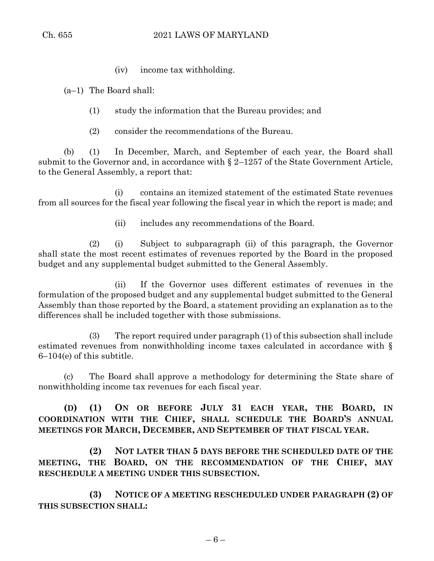(iv) income tax withholding.

(a–1) The Board shall:

- (1) study the information that the Bureau provides; and
- (2) consider the recommendations of the Bureau.

(b) (1) In December, March, and September of each year, the Board shall submit to the Governor and, in accordance with  $\S 2$ –1257 of the State Government Article, to the General Assembly, a report that:

(i) contains an itemized statement of the estimated State revenues from all sources for the fiscal year following the fiscal year in which the report is made; and

(ii) includes any recommendations of the Board.

(2) (i) Subject to subparagraph (ii) of this paragraph, the Governor shall state the most recent estimates of revenues reported by the Board in the proposed budget and any supplemental budget submitted to the General Assembly.

(ii) If the Governor uses different estimates of revenues in the formulation of the proposed budget and any supplemental budget submitted to the General Assembly than those reported by the Board, a statement providing an explanation as to the differences shall be included together with those submissions.

(3) The report required under paragraph (1) of this subsection shall include estimated revenues from nonwithholding income taxes calculated in accordance with § 6–104(e) of this subtitle.

(c) The Board shall approve a methodology for determining the State share of nonwithholding income tax revenues for each fiscal year.

**(D) (1) ON OR BEFORE JULY 31 EACH YEAR, THE BOARD, IN COORDINATION WITH THE CHIEF, SHALL SCHEDULE THE BOARD'S ANNUAL MEETINGS FOR MARCH, DECEMBER, AND SEPTEMBER OF THAT FISCAL YEAR.**

**(2) NOT LATER THAN 5 DAYS BEFORE THE SCHEDULED DATE OF THE MEETING, THE BOARD, ON THE RECOMMENDATION OF THE CHIEF, MAY RESCHEDULE A MEETING UNDER THIS SUBSECTION.**

**(3) NOTICE OF A MEETING RESCHEDULED UNDER PARAGRAPH (2) OF THIS SUBSECTION SHALL:**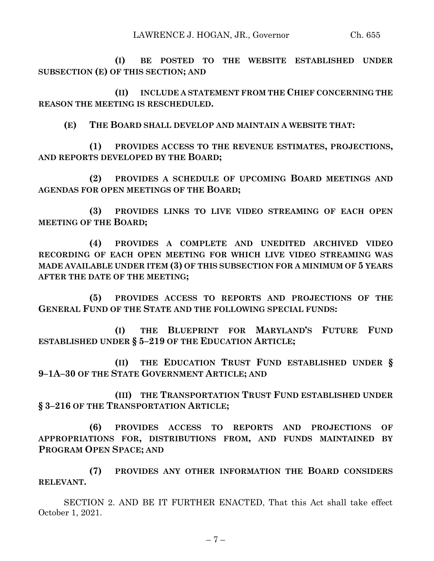**(I) BE POSTED TO THE WEBSITE ESTABLISHED UNDER SUBSECTION (E) OF THIS SECTION; AND**

**(II) INCLUDE A STATEMENT FROM THE CHIEF CONCERNING THE REASON THE MEETING IS RESCHEDULED.**

**(E) THE BOARD SHALL DEVELOP AND MAINTAIN A WEBSITE THAT:**

**(1) PROVIDES ACCESS TO THE REVENUE ESTIMATES, PROJECTIONS, AND REPORTS DEVELOPED BY THE BOARD;**

**(2) PROVIDES A SCHEDULE OF UPCOMING BOARD MEETINGS AND AGENDAS FOR OPEN MEETINGS OF THE BOARD;**

**(3) PROVIDES LINKS TO LIVE VIDEO STREAMING OF EACH OPEN MEETING OF THE BOARD;**

**(4) PROVIDES A COMPLETE AND UNEDITED ARCHIVED VIDEO RECORDING OF EACH OPEN MEETING FOR WHICH LIVE VIDEO STREAMING WAS MADE AVAILABLE UNDER ITEM (3) OF THIS SUBSECTION FOR A MINIMUM OF 5 YEARS AFTER THE DATE OF THE MEETING;**

**(5) PROVIDES ACCESS TO REPORTS AND PROJECTIONS OF THE GENERAL FUND OF THE STATE AND THE FOLLOWING SPECIAL FUNDS:**

**(I) THE BLUEPRINT FOR MARYLAND'S FUTURE FUND ESTABLISHED UNDER § 5–219 OF THE EDUCATION ARTICLE;**

**(II) THE EDUCATION TRUST FUND ESTABLISHED UNDER § 9–1A–30 OF THE STATE GOVERNMENT ARTICLE; AND**

**(III) THE TRANSPORTATION TRUST FUND ESTABLISHED UNDER § 3–216 OF THE TRANSPORTATION ARTICLE;**

**(6) PROVIDES ACCESS TO REPORTS AND PROJECTIONS OF APPROPRIATIONS FOR, DISTRIBUTIONS FROM, AND FUNDS MAINTAINED BY PROGRAM OPEN SPACE; AND**

**(7) PROVIDES ANY OTHER INFORMATION THE BOARD CONSIDERS RELEVANT.**

SECTION 2. AND BE IT FURTHER ENACTED, That this Act shall take effect October 1, 2021.